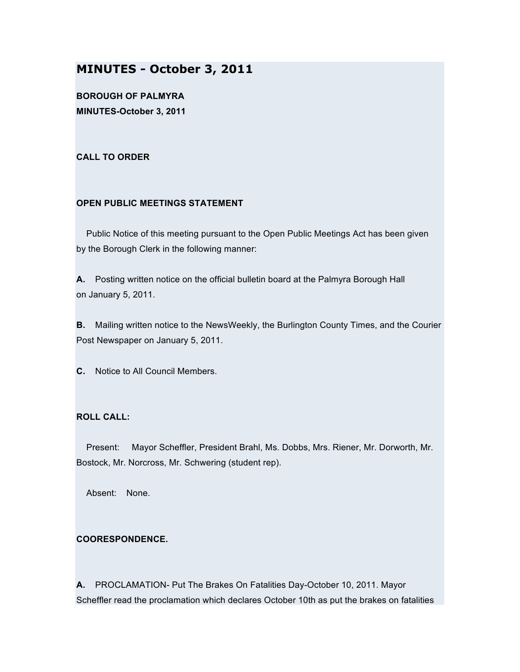# **MINUTES - October 3, 2011**

**BOROUGH OF PALMYRA MINUTES-October 3, 2011**

## **CALL TO ORDER**

## **OPEN PUBLIC MEETINGS STATEMENT**

Public Notice of this meeting pursuant to the Open Public Meetings Act has been given by the Borough Clerk in the following manner:

**A.** Posting written notice on the official bulletin board at the Palmyra Borough Hall on January 5, 2011.

**B.** Mailing written notice to the NewsWeekly, the Burlington County Times, and the Courier Post Newspaper on January 5, 2011.

**C.** Notice to All Council Members.

# **ROLL CALL:**

Present: Mayor Scheffler, President Brahl, Ms. Dobbs, Mrs. Riener, Mr. Dorworth, Mr. Bostock, Mr. Norcross, Mr. Schwering (student rep).

Absent: None.

# **COORESPONDENCE.**

**A.** PROCLAMATION- Put The Brakes On Fatalities Day-October 10, 2011. Mayor Scheffler read the proclamation which declares October 10th as put the brakes on fatalities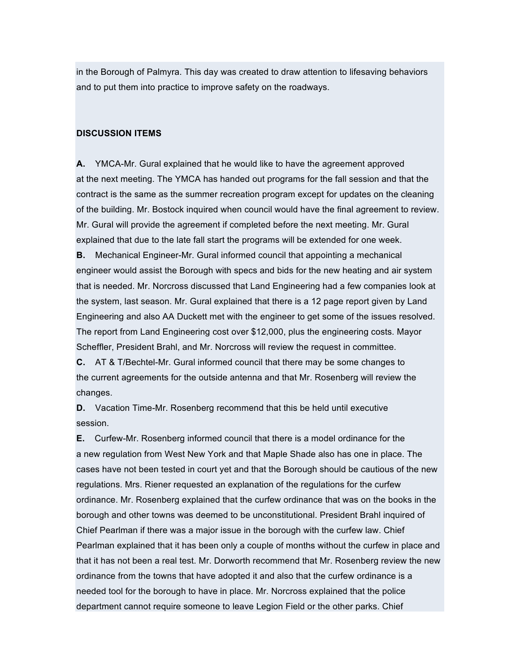in the Borough of Palmyra. This day was created to draw attention to lifesaving behaviors and to put them into practice to improve safety on the roadways.

#### **DISCUSSION ITEMS**

**A.** YMCA-Mr. Gural explained that he would like to have the agreement approved at the next meeting. The YMCA has handed out programs for the fall session and that the contract is the same as the summer recreation program except for updates on the cleaning of the building. Mr. Bostock inquired when council would have the final agreement to review. Mr. Gural will provide the agreement if completed before the next meeting. Mr. Gural explained that due to the late fall start the programs will be extended for one week.

**B.** Mechanical Engineer-Mr. Gural informed council that appointing a mechanical engineer would assist the Borough with specs and bids for the new heating and air system that is needed. Mr. Norcross discussed that Land Engineering had a few companies look at the system, last season. Mr. Gural explained that there is a 12 page report given by Land Engineering and also AA Duckett met with the engineer to get some of the issues resolved. The report from Land Engineering cost over \$12,000, plus the engineering costs. Mayor Scheffler, President Brahl, and Mr. Norcross will review the request in committee.

**C.** AT & T/Bechtel-Mr. Gural informed council that there may be some changes to the current agreements for the outside antenna and that Mr. Rosenberg will review the changes.

**D.** Vacation Time-Mr. Rosenberg recommend that this be held until executive session.

**E.** Curfew-Mr. Rosenberg informed council that there is a model ordinance for the a new regulation from West New York and that Maple Shade also has one in place. The cases have not been tested in court yet and that the Borough should be cautious of the new regulations. Mrs. Riener requested an explanation of the regulations for the curfew ordinance. Mr. Rosenberg explained that the curfew ordinance that was on the books in the borough and other towns was deemed to be unconstitutional. President Brahl inquired of Chief Pearlman if there was a major issue in the borough with the curfew law. Chief Pearlman explained that it has been only a couple of months without the curfew in place and that it has not been a real test. Mr. Dorworth recommend that Mr. Rosenberg review the new ordinance from the towns that have adopted it and also that the curfew ordinance is a needed tool for the borough to have in place. Mr. Norcross explained that the police department cannot require someone to leave Legion Field or the other parks. Chief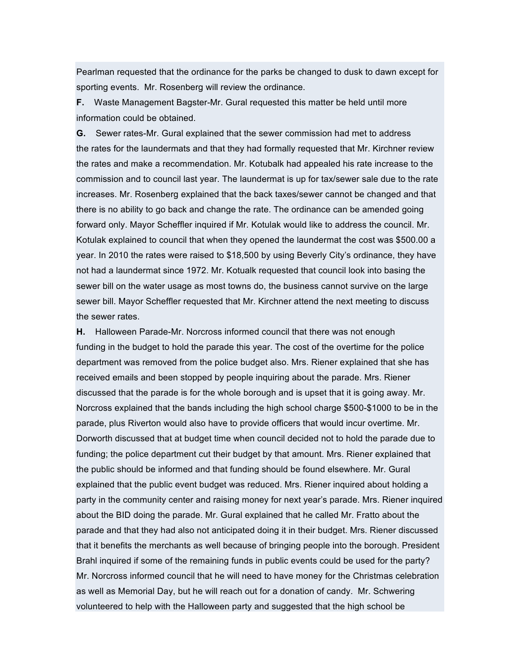Pearlman requested that the ordinance for the parks be changed to dusk to dawn except for sporting events. Mr. Rosenberg will review the ordinance.

**F.** Waste Management Bagster-Mr. Gural requested this matter be held until more information could be obtained.

**G.** Sewer rates-Mr. Gural explained that the sewer commission had met to address the rates for the laundermats and that they had formally requested that Mr. Kirchner review the rates and make a recommendation. Mr. Kotubalk had appealed his rate increase to the commission and to council last year. The laundermat is up for tax/sewer sale due to the rate increases. Mr. Rosenberg explained that the back taxes/sewer cannot be changed and that there is no ability to go back and change the rate. The ordinance can be amended going forward only. Mayor Scheffler inquired if Mr. Kotulak would like to address the council. Mr. Kotulak explained to council that when they opened the laundermat the cost was \$500.00 a year. In 2010 the rates were raised to \$18,500 by using Beverly City's ordinance, they have not had a laundermat since 1972. Mr. Kotualk requested that council look into basing the sewer bill on the water usage as most towns do, the business cannot survive on the large sewer bill. Mayor Scheffler requested that Mr. Kirchner attend the next meeting to discuss the sewer rates.

**H.** Halloween Parade-Mr. Norcross informed council that there was not enough funding in the budget to hold the parade this year. The cost of the overtime for the police department was removed from the police budget also. Mrs. Riener explained that she has received emails and been stopped by people inquiring about the parade. Mrs. Riener discussed that the parade is for the whole borough and is upset that it is going away. Mr. Norcross explained that the bands including the high school charge \$500-\$1000 to be in the parade, plus Riverton would also have to provide officers that would incur overtime. Mr. Dorworth discussed that at budget time when council decided not to hold the parade due to funding; the police department cut their budget by that amount. Mrs. Riener explained that the public should be informed and that funding should be found elsewhere. Mr. Gural explained that the public event budget was reduced. Mrs. Riener inquired about holding a party in the community center and raising money for next year's parade. Mrs. Riener inquired about the BID doing the parade. Mr. Gural explained that he called Mr. Fratto about the parade and that they had also not anticipated doing it in their budget. Mrs. Riener discussed that it benefits the merchants as well because of bringing people into the borough. President Brahl inquired if some of the remaining funds in public events could be used for the party? Mr. Norcross informed council that he will need to have money for the Christmas celebration as well as Memorial Day, but he will reach out for a donation of candy. Mr. Schwering volunteered to help with the Halloween party and suggested that the high school be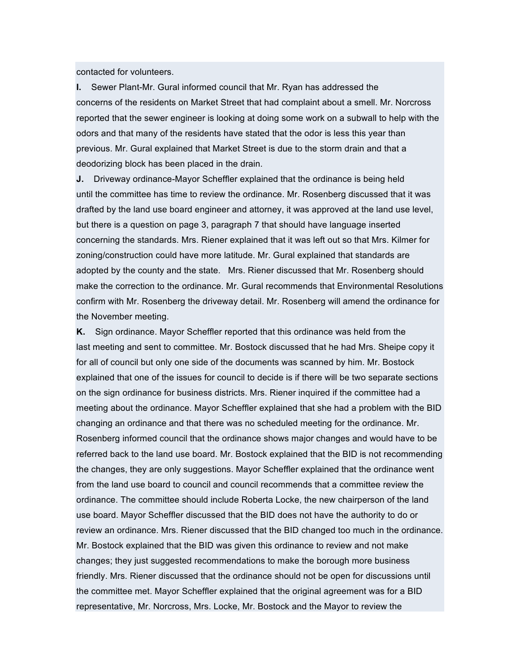contacted for volunteers.

**I.** Sewer Plant-Mr. Gural informed council that Mr. Ryan has addressed the concerns of the residents on Market Street that had complaint about a smell. Mr. Norcross reported that the sewer engineer is looking at doing some work on a subwall to help with the odors and that many of the residents have stated that the odor is less this year than previous. Mr. Gural explained that Market Street is due to the storm drain and that a deodorizing block has been placed in the drain.

**J.** Driveway ordinance-Mayor Scheffler explained that the ordinance is being held until the committee has time to review the ordinance. Mr. Rosenberg discussed that it was drafted by the land use board engineer and attorney, it was approved at the land use level, but there is a question on page 3, paragraph 7 that should have language inserted concerning the standards. Mrs. Riener explained that it was left out so that Mrs. Kilmer for zoning/construction could have more latitude. Mr. Gural explained that standards are adopted by the county and the state. Mrs. Riener discussed that Mr. Rosenberg should make the correction to the ordinance. Mr. Gural recommends that Environmental Resolutions confirm with Mr. Rosenberg the driveway detail. Mr. Rosenberg will amend the ordinance for the November meeting.

**K.** Sign ordinance. Mayor Scheffler reported that this ordinance was held from the last meeting and sent to committee. Mr. Bostock discussed that he had Mrs. Sheipe copy it for all of council but only one side of the documents was scanned by him. Mr. Bostock explained that one of the issues for council to decide is if there will be two separate sections on the sign ordinance for business districts. Mrs. Riener inquired if the committee had a meeting about the ordinance. Mayor Scheffler explained that she had a problem with the BID changing an ordinance and that there was no scheduled meeting for the ordinance. Mr. Rosenberg informed council that the ordinance shows major changes and would have to be referred back to the land use board. Mr. Bostock explained that the BID is not recommending the changes, they are only suggestions. Mayor Scheffler explained that the ordinance went from the land use board to council and council recommends that a committee review the ordinance. The committee should include Roberta Locke, the new chairperson of the land use board. Mayor Scheffler discussed that the BID does not have the authority to do or review an ordinance. Mrs. Riener discussed that the BID changed too much in the ordinance. Mr. Bostock explained that the BID was given this ordinance to review and not make changes; they just suggested recommendations to make the borough more business friendly. Mrs. Riener discussed that the ordinance should not be open for discussions until the committee met. Mayor Scheffler explained that the original agreement was for a BID representative, Mr. Norcross, Mrs. Locke, Mr. Bostock and the Mayor to review the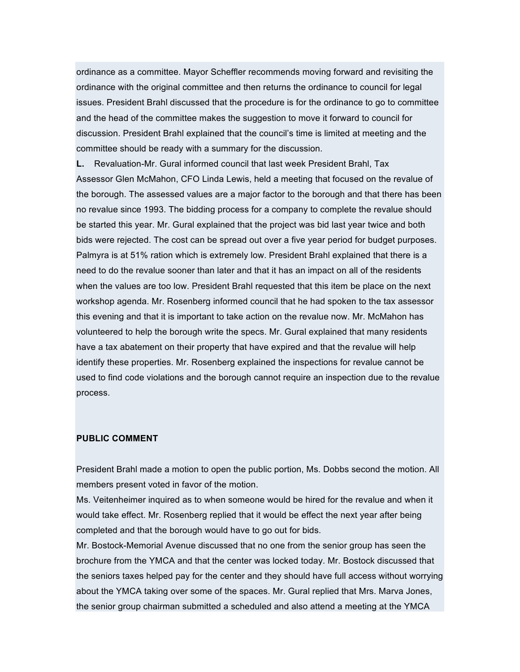ordinance as a committee. Mayor Scheffler recommends moving forward and revisiting the ordinance with the original committee and then returns the ordinance to council for legal issues. President Brahl discussed that the procedure is for the ordinance to go to committee and the head of the committee makes the suggestion to move it forward to council for discussion. President Brahl explained that the council's time is limited at meeting and the committee should be ready with a summary for the discussion.

**L.** Revaluation-Mr. Gural informed council that last week President Brahl, Tax Assessor Glen McMahon, CFO Linda Lewis, held a meeting that focused on the revalue of the borough. The assessed values are a major factor to the borough and that there has been no revalue since 1993. The bidding process for a company to complete the revalue should be started this year. Mr. Gural explained that the project was bid last year twice and both bids were rejected. The cost can be spread out over a five year period for budget purposes. Palmyra is at 51% ration which is extremely low. President Brahl explained that there is a need to do the revalue sooner than later and that it has an impact on all of the residents when the values are too low. President Brahl requested that this item be place on the next workshop agenda. Mr. Rosenberg informed council that he had spoken to the tax assessor this evening and that it is important to take action on the revalue now. Mr. McMahon has volunteered to help the borough write the specs. Mr. Gural explained that many residents have a tax abatement on their property that have expired and that the revalue will help identify these properties. Mr. Rosenberg explained the inspections for revalue cannot be used to find code violations and the borough cannot require an inspection due to the revalue process.

# **PUBLIC COMMENT**

President Brahl made a motion to open the public portion, Ms. Dobbs second the motion. All members present voted in favor of the motion.

Ms. Veitenheimer inquired as to when someone would be hired for the revalue and when it would take effect. Mr. Rosenberg replied that it would be effect the next year after being completed and that the borough would have to go out for bids.

Mr. Bostock-Memorial Avenue discussed that no one from the senior group has seen the brochure from the YMCA and that the center was locked today. Mr. Bostock discussed that the seniors taxes helped pay for the center and they should have full access without worrying about the YMCA taking over some of the spaces. Mr. Gural replied that Mrs. Marva Jones, the senior group chairman submitted a scheduled and also attend a meeting at the YMCA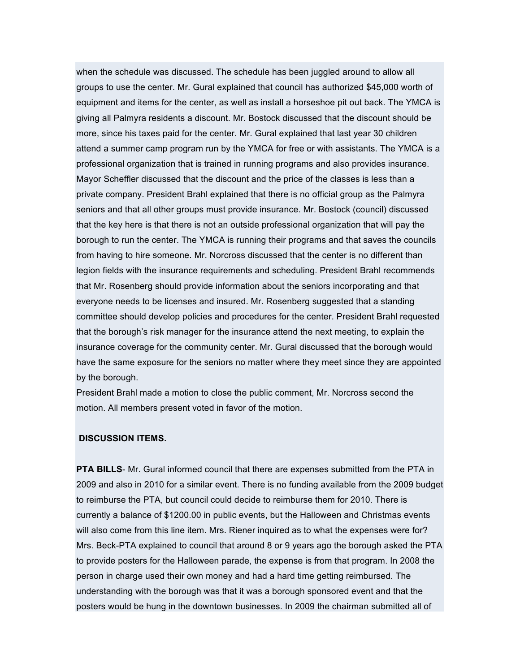when the schedule was discussed. The schedule has been juggled around to allow all groups to use the center. Mr. Gural explained that council has authorized \$45,000 worth of equipment and items for the center, as well as install a horseshoe pit out back. The YMCA is giving all Palmyra residents a discount. Mr. Bostock discussed that the discount should be more, since his taxes paid for the center. Mr. Gural explained that last year 30 children attend a summer camp program run by the YMCA for free or with assistants. The YMCA is a professional organization that is trained in running programs and also provides insurance. Mayor Scheffler discussed that the discount and the price of the classes is less than a private company. President Brahl explained that there is no official group as the Palmyra seniors and that all other groups must provide insurance. Mr. Bostock (council) discussed that the key here is that there is not an outside professional organization that will pay the borough to run the center. The YMCA is running their programs and that saves the councils from having to hire someone. Mr. Norcross discussed that the center is no different than legion fields with the insurance requirements and scheduling. President Brahl recommends that Mr. Rosenberg should provide information about the seniors incorporating and that everyone needs to be licenses and insured. Mr. Rosenberg suggested that a standing committee should develop policies and procedures for the center. President Brahl requested that the borough's risk manager for the insurance attend the next meeting, to explain the insurance coverage for the community center. Mr. Gural discussed that the borough would have the same exposure for the seniors no matter where they meet since they are appointed by the borough.

President Brahl made a motion to close the public comment, Mr. Norcross second the motion. All members present voted in favor of the motion.

#### **DISCUSSION ITEMS.**

**PTA BILLS**- Mr. Gural informed council that there are expenses submitted from the PTA in 2009 and also in 2010 for a similar event. There is no funding available from the 2009 budget to reimburse the PTA, but council could decide to reimburse them for 2010. There is currently a balance of \$1200.00 in public events, but the Halloween and Christmas events will also come from this line item. Mrs. Riener inquired as to what the expenses were for? Mrs. Beck-PTA explained to council that around 8 or 9 years ago the borough asked the PTA to provide posters for the Halloween parade, the expense is from that program. In 2008 the person in charge used their own money and had a hard time getting reimbursed. The understanding with the borough was that it was a borough sponsored event and that the posters would be hung in the downtown businesses. In 2009 the chairman submitted all of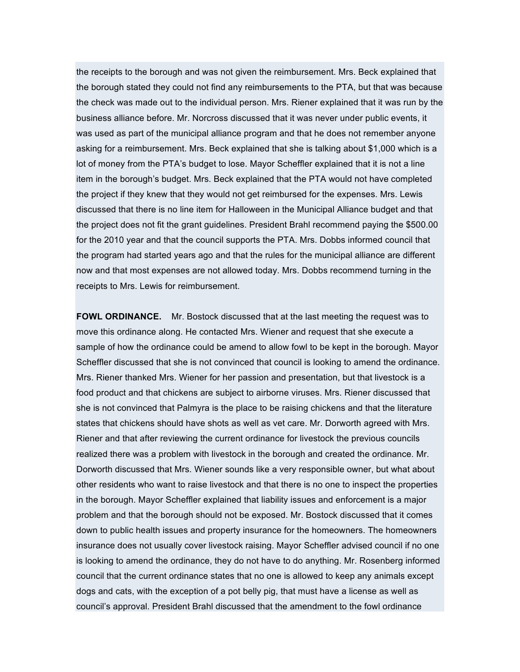the receipts to the borough and was not given the reimbursement. Mrs. Beck explained that the borough stated they could not find any reimbursements to the PTA, but that was because the check was made out to the individual person. Mrs. Riener explained that it was run by the business alliance before. Mr. Norcross discussed that it was never under public events, it was used as part of the municipal alliance program and that he does not remember anyone asking for a reimbursement. Mrs. Beck explained that she is talking about \$1,000 which is a lot of money from the PTA's budget to lose. Mayor Scheffler explained that it is not a line item in the borough's budget. Mrs. Beck explained that the PTA would not have completed the project if they knew that they would not get reimbursed for the expenses. Mrs. Lewis discussed that there is no line item for Halloween in the Municipal Alliance budget and that the project does not fit the grant guidelines. President Brahl recommend paying the \$500.00 for the 2010 year and that the council supports the PTA. Mrs. Dobbs informed council that the program had started years ago and that the rules for the municipal alliance are different now and that most expenses are not allowed today. Mrs. Dobbs recommend turning in the receipts to Mrs. Lewis for reimbursement.

**FOWL ORDINANCE.** Mr. Bostock discussed that at the last meeting the request was to move this ordinance along. He contacted Mrs. Wiener and request that she execute a sample of how the ordinance could be amend to allow fowl to be kept in the borough. Mayor Scheffler discussed that she is not convinced that council is looking to amend the ordinance. Mrs. Riener thanked Mrs. Wiener for her passion and presentation, but that livestock is a food product and that chickens are subject to airborne viruses. Mrs. Riener discussed that she is not convinced that Palmyra is the place to be raising chickens and that the literature states that chickens should have shots as well as vet care. Mr. Dorworth agreed with Mrs. Riener and that after reviewing the current ordinance for livestock the previous councils realized there was a problem with livestock in the borough and created the ordinance. Mr. Dorworth discussed that Mrs. Wiener sounds like a very responsible owner, but what about other residents who want to raise livestock and that there is no one to inspect the properties in the borough. Mayor Scheffler explained that liability issues and enforcement is a major problem and that the borough should not be exposed. Mr. Bostock discussed that it comes down to public health issues and property insurance for the homeowners. The homeowners insurance does not usually cover livestock raising. Mayor Scheffler advised council if no one is looking to amend the ordinance, they do not have to do anything. Mr. Rosenberg informed council that the current ordinance states that no one is allowed to keep any animals except dogs and cats, with the exception of a pot belly pig, that must have a license as well as council's approval. President Brahl discussed that the amendment to the fowl ordinance